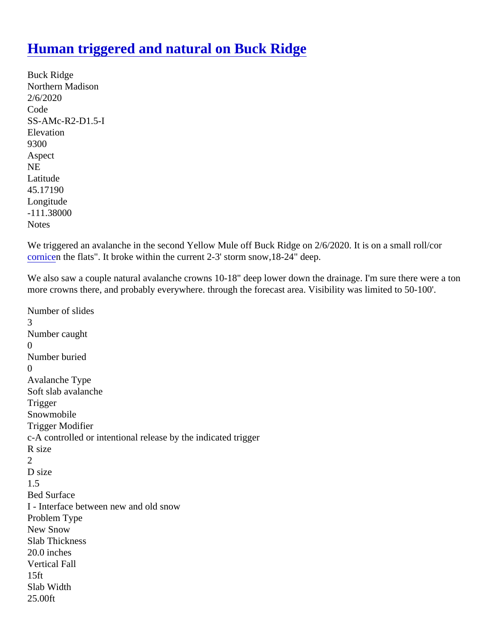## [Human triggered and natural on Buck Ridge](https://www.mtavalanche.com/node/21907)

Buck Ridge Northern Madison 2/6/2020 Code SS-AMc-R2-D1.5-I **Elevation** 9300 Aspect NE Latitude 45.17190 Longitude -111.38000 **Notes** 

We triggered an avalanche in the second Yellow Mule off Buck Ridge on 2/6/2020. It is on a small roll/cor [cornice](https://www.mtavalanche.com/taxonomy/term/267)n the flats". It broke within the current 2-3' storm snow,18-24" deep.

We also saw a couple natural avalanche crowns 10-18" deep lower down the drainage. I'm sure there were a more crowns there, and probably everywhere. through the forecast area. Visibility was limited to 50-100'.

Number of slides 3 Number caught  $\Omega$ Number buried  $\Omega$ Avalanche Type Soft slab avalanche **Trigger** Snowmobile Trigger Modifier c-A controlled or intentional release by the indicated trigger R size 2 D size 1.5 Bed Surface I - Interface between new and old snow Problem Type New Snow Slab Thickness 20.0 inches Vertical Fall 15ft Slab Width 25.00ft